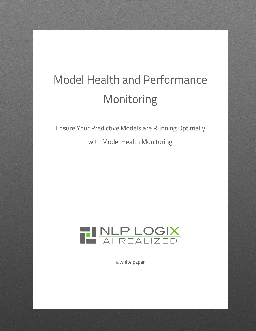# Model Health and Performance Monitoring

Ensure Your Predictive Models are Running Optimally

with Model Health Monitoring



a white paper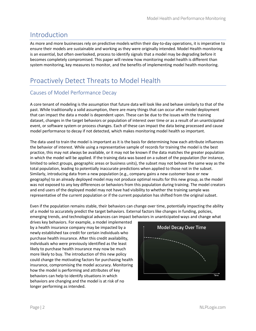## Introduction

As more and more businesses rely on predictive models within their day-to-day operations, it is imperative to ensure their models are sustainable and working as they were originally intended. Model Health monitoring is an essential, but often overlooked, process to identify signals that a model may be degrading before it becomes completely compromised. This paper will review how monitoring model health is different than system monitoring, key measures to monitor, and the benefits of implementing model health monitoring.

## Proactively Detect Threats to Model Health

#### Causes of Model Performance Decay

A core tenant of modeling is the assumption that future data will look like and behave similarly to that of the past. While traditionally a solid assumption, there are many things that can occur after model deployment that can impact the data a model is dependent upon. These can be due to the issues with the training dataset, changes in the target behaviors or population of interest over time or as a result of an unanticipated event, or software system or process changes. Each of these can impact the data being processed and cause model performance to decay if not detected, which makes monitoring model health so important.

The data used to train the model is important as it is the basis for determining how each attribute influences the behavior of interest. While using a representative sample of records for training the model is the best practice, this may not always be available, or it may not be known if the data matches the greater population in which the model will be applied. If the training data was based on a subset of the population (for instance, limited to select groups, geographic areas or business units), the subset may not behave the same way as the total population, leading to potentially inaccurate predictions when applied to those not in the subset. Similarly, introducing data from a new population (e.g., company gains a new customer base or new geography) to an already deployed model may not produce optimal results for this new group, as the model was not exposed to any key differences or behaviors from this population during training. The model creators and end users of the deployed model may not have had visibility to whether the training sample was representative of the current population or if the current population has shifted from the original subset.

Even if the population remains stable, their behaviors can change over time, potentially impacting the ability of a model to accurately predict the target behaviors. External factors like changes in funding, policies, emerging trends, and technological advances can impact behaviors in unanticipated ways and change what

drives key behaviors. For example, a model implemented by a health insurance company may be impacted by a newly established tax credit for certain individuals who purchase health insurance. After this credit availability, individuals who were previously identified as the least likely to purchase health insurance may now be much more likely to buy. The introduction of this new policy could change the motivating factors for purchasing health insurance, compromising the model accuracy. Monitoring how the model is performing and attributes of key behaviors can help to identify situations in which behaviors are changing and the model is at risk of no longer performing as intended.

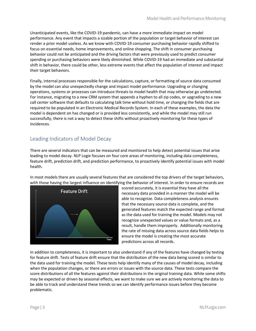Unanticipated events, like the COVID-19 pandemic, can have a more immediate impact on model performance. Any event that impacts a sizable portion of the population or target behavior of interest can render a prior model useless. As we know with COVID-19 consumer purchasing behavior rapidly shifted to focus on essential needs, home improvements, and online shopping. The shift in consumer purchasing behavior could not be anticipated and the driving factors that were previously used to predict consumer spending or purchasing behaviors were likely diminished. While COVID-19 had an immediate and substantial shift in behavior, there could be other, less extreme events that affect the population of interest and impact their target behaviors.

Finally, internal processes responsible for the calculations, capture, or formatting of source data consumed by the model can also unexpectedly change and impact model performance. Upgrading or changing operations, systems or processes can introduce threats to model health that may otherwise go undetected. For instance, migrating to a new CRM system that appends a hyphen to all zip codes, or upgrading to a new call center software that defaults to calculating talk time without hold time, or changing the fields that are required to be populated in an Electronic Medical Records System. In each of these examples, the data the model is dependent on has changed or is provided less consistently, and while the model may still run successfully, there is not a way to detect these shifts without proactively monitoring for these types of incidences.

#### Leading Indicators of Model Decay

There are several indicators that can be measured and monitored to help detect potential issues that arise leading to model decay. NLP Logix focuses on four core areas of monitoring, including data completeness, feature drift, prediction drift, and prediction performance, to proactively identify potential issues with model health.

In most models there are usually several features that are considered the top drivers of the target behaviors, with those having the largest influence on identifying the behavior of interest. In order to ensure records are



scored accurately, it is essential they have all the necessary data provided in a manner the model will be able to recognize. Data completeness analysis ensures that the necessary source data is complete, and the generated features match the expected range and format as the data used for training the model. Models may not recognize unexpected values or value formats and, as a result, handle them improperly. Additionally monitoring the rate of missing data across source data fields helps to ensure the model is creating the most accurate predictions across all records.

In addition to completeness, it is important to also understand if any of the features have changed by testing for feature drift. Tests of feature drift ensure that the distribution of the new data being scored is similar to the data used for training the model. These tests help identify many of the causes of model decay, including when the population changes, or there are errors or issues with the source data. These tests compare the score distributions of all the features against their distributions in the original training data. While some shifts may be expected or driven by seasonal effects, we want to make sure we are actively monitoring the data to be able to track and understand these trends so we can identify performance issues before they become problematic.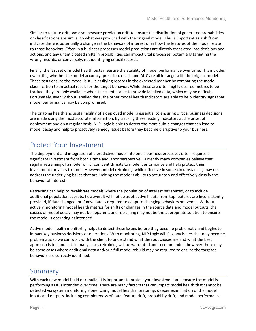Similar to feature drift, we also measure prediction drift to ensure the distribution of generated probabilities or classifications are similar to what was produced with the original model. This is important as a shift can indicate there is potentially a change in the behaviors of interest or in how the features of the model relate to those behaviors. Often in a business processes model predictions are directly translated into decisions and actions, and any unanticipated shifts in probabilities can impact vital processes, potentially targeting the wrong records, or conversely, not identifying critical records.

Finally, the last set of model health tests measure the stability of model performance over time. This includes evaluating whether the model accuracy, precision, recall, and AUC are all in range with the original model. These tests ensure the model is still classifying records in the expected manner by comparing the model classification to an actual result for the target behavior. While these are often highly desired metrics to be tracked, they are only available when the client is able to provide labelled data, which may be difficult. Fortunately, even without labelled data, the other model health indicators are able to help identify signs that model performance may be compromised.

The ongoing health and sustainability of a deployed model is essential to ensuring critical business decisions are made using the most accurate information. By tracking these leading indicators at the onset of deployment and on a regular basis, NLP Logix is able to detect the more subtle changes that can lead to model decay and help to proactively remedy issues before they become disruptive to your business.

## Protect Your Investment

The deployment and integration of a predictive model into one's business processes often requires a significant investment from both a time and labor perspective. Currently many companies believe that regular retraining of a model will circumvent threats to model performance and help protect their investment for years to come. However, model retraining, while effective in some circumstances, may not address the underlying issues that are limiting the model's ability to accurately and effectively classify the behavior of interest.

Retraining can help to recalibrate models where the population of interest has shifted, or to include additional population subsets, however, it will not be as effective if data from top features are inconsistently provided, if data changed, or if new data is required to adapt to changing behaviors or events. Without actively monitoring model health metrics for shifts or changes in the source data and model outputs, the causes of model decay may not be apparent, and retraining may not be the appropriate solution to ensure the model is operating as intended.

Active model health monitoring helps to detect these issues before they become problematic and begins to impact key business decisions or operations. With monitoring, NLP Logix will flag any issues that may become problematic so we can work with the client to understand what the root causes are and what the best approach is to handle it. In many cases retraining will be warranted and recommended, however there may be some cases where additional data and/or a full model rebuild may be required to ensure the targeted behaviors are correctly identified.

### Summary

With each new model build or rebuild, it is important to protect your investment and ensure the model is performing as it is intended over time. There are many factors that can impact model health that cannot be detected via system monitoring alone. Using model health monitoring, deeper examination of the model inputs and outputs, including completeness of data, feature drift, probability drift, and model performance